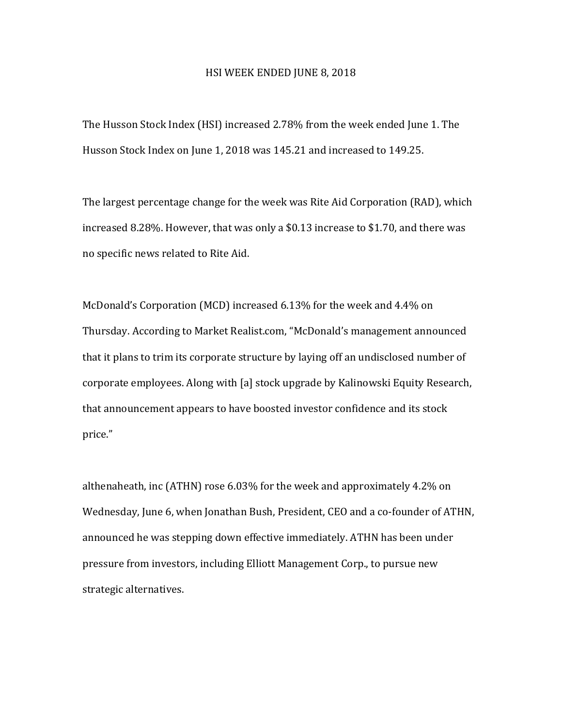## HSI WEEK ENDED JUNE 8, 2018

The Husson Stock Index (HSI) increased 2.78% from the week ended June 1. The Husson Stock Index on June 1, 2018 was 145.21 and increased to 149.25.

The largest percentage change for the week was Rite Aid Corporation (RAD), which increased 8.28%. However, that was only a  $$0.13$  increase to  $$1.70$ , and there was no specific news related to Rite Aid.

McDonald's Corporation (MCD) increased 6.13% for the week and 4.4% on Thursday. According to Market Realist.com, "McDonald's management announced that it plans to trim its corporate structure by laying off an undisclosed number of corporate employees. Along with [a] stock upgrade by Kalinowski Equity Research, that announcement appears to have boosted investor confidence and its stock price."

althenaheath, inc (ATHN) rose  $6.03\%$  for the week and approximately  $4.2\%$  on Wednesday, June 6, when Jonathan Bush, President, CEO and a co-founder of ATHN, announced he was stepping down effective immediately. ATHN has been under pressure from investors, including Elliott Management Corp., to pursue new strategic alternatives.